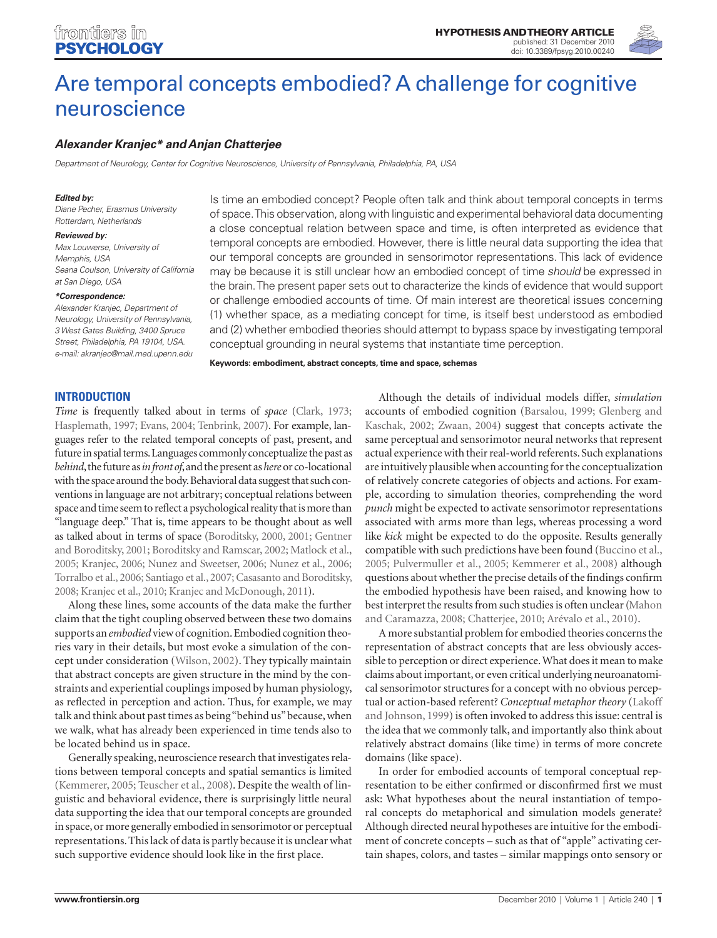

# Are temporal concepts embodied? A challenge for cognitive neuroscience

# **Alexander Kranjec\* and Anjan Chatterjee**

Department of Neurology, Center for Cognitive Neuroscience, University of Pennsylvania, Philadelphia, PA, USA

#### **Edited by:**

Diane Pecher, Erasmus University Rotterdam, Netherlands

#### **Reviewed by:**

Max Louwerse, University of Memphis, USA Seana Coulson, University of California at San Diego, USA

#### **\*Correspondence:**

Alexander Kranjec, Department of Neurology, University of Pennsylvania, 3 West Gates Building, 3400 Spruce Street, Philadelphia, PA 19104, USA. e-mail: akranjec@mail.med.upenn.edu Is time an embodied concept? People often talk and think about temporal concepts in terms of space. This observation, along with linguistic and experimental behavioral data documenting a close conceptual relation between space and time, is often interpreted as evidence that temporal concepts are embodied. However, there is little neural data supporting the idea that our temporal concepts are grounded in sensorimotor representations. This lack of evidence may be because it is still unclear how an embodied concept of time should be expressed in the brain. The present paper sets out to characterize the kinds of evidence that would support or challenge embodied accounts of time. Of main interest are theoretical issues concerning (1) whether space, as a mediating concept for time, is itself best understood as embodied and (2) whether embodied theories should attempt to bypass space by investigating temporal conceptual grounding in neural systems that instantiate time perception.

**Keywords: embodiment, abstract concepts, time and space, schemas**

## **INTRODUCTION**

*Time* is frequently talked about in terms of *space* (Clark, 1973; Hasplemath, 1997; Evans, 2004; Tenbrink, 2007). For example, languages refer to the related temporal concepts of past, present, and future in spatial terms. Languages commonly conceptualize the past as *behind*, the future as *in front of*, and the present as *here* or co-locational with the space around the body. Behavioral data suggest that such conventions in language are not arbitrary; conceptual relations between space and time seem to reflect a psychological reality that is more than "language deep." That is, time appears to be thought about as well as talked about in terms of space (Boroditsky, 2000, 2001; Gentner and Boroditsky, 2001; Boroditsky and Ramscar, 2002; Matlock et al., 2005; Kranjec, 2006; Nunez and Sweetser, 2006; Nunez et al., 2006; Torralbo et al., 2006; Santiago et al., 2007; Casasanto and Boroditsky, 2008; Kranjec et al., 2010; Kranjec and McDonough, 2011).

Along these lines, some accounts of the data make the further claim that the tight coupling observed between these two domains supports an *embodied* view of cognition. Embodied cognition theories vary in their details, but most evoke a simulation of the concept under consideration (Wilson, 2002). They typically maintain that abstract concepts are given structure in the mind by the constraints and experiential couplings imposed by human physiology, as reflected in perception and action. Thus, for example, we may talk and think about past times as being "behind us" because, when we walk, what has already been experienced in time tends also to be located behind us in space.

Generally speaking, neuroscience research that investigates relations between temporal concepts and spatial semantics is limited (Kemmerer, 2005; Teuscher et al., 2008). Despite the wealth of linguistic and behavioral evidence, there is surprisingly little neural data supporting the idea that our temporal concepts are grounded in space, or more generally embodied in sensorimotor or perceptual representations. This lack of data is partly because it is unclear what such supportive evidence should look like in the first place.

Although the details of individual models differ, *simulation* accounts of embodied cognition (Barsalou, 1999; Glenberg and Kaschak, 2002; Zwaan, 2004) suggest that concepts activate the same perceptual and sensorimotor neural networks that represent actual experience with their real-world referents. Such explanations are intuitively plausible when accounting for the conceptualization of relatively concrete categories of objects and actions. For example, according to simulation theories, comprehending the word *punch* might be expected to activate sensorimotor representations associated with arms more than legs, whereas processing a word like *kick* might be expected to do the opposite. Results generally compatible with such predictions have been found (Buccino et al., 2005; Pulvermuller et al., 2005; Kemmerer et al., 2008) although questions about whether the precise details of the findings confirm the embodied hypothesis have been raised, and knowing how to best interpret the results from such studies is often unclear (Mahon and Caramazza, 2008; Chatterjee, 2010; Arévalo et al., 2010).

A more substantial problem for embodied theories concerns the representation of abstract concepts that are less obviously accessible to perception or direct experience. What does it mean to make claims about important, or even critical underlying neuroanatomical sensorimotor structures for a concept with no obvious perceptual or action-based referent? *Conceptual metaphor theory* (Lakoff and Johnson, 1999) is often invoked to address this issue: central is the idea that we commonly talk, and importantly also think about relatively abstract domains (like time) in terms of more concrete domains (like space).

In order for embodied accounts of temporal conceptual representation to be either confirmed or disconfirmed first we must ask: What hypotheses about the neural instantiation of temporal concepts do metaphorical and simulation models generate? Although directed neural hypotheses are intuitive for the embodiment of concrete concepts – such as that of "apple" activating certain shapes, colors, and tastes – similar mappings onto sensory or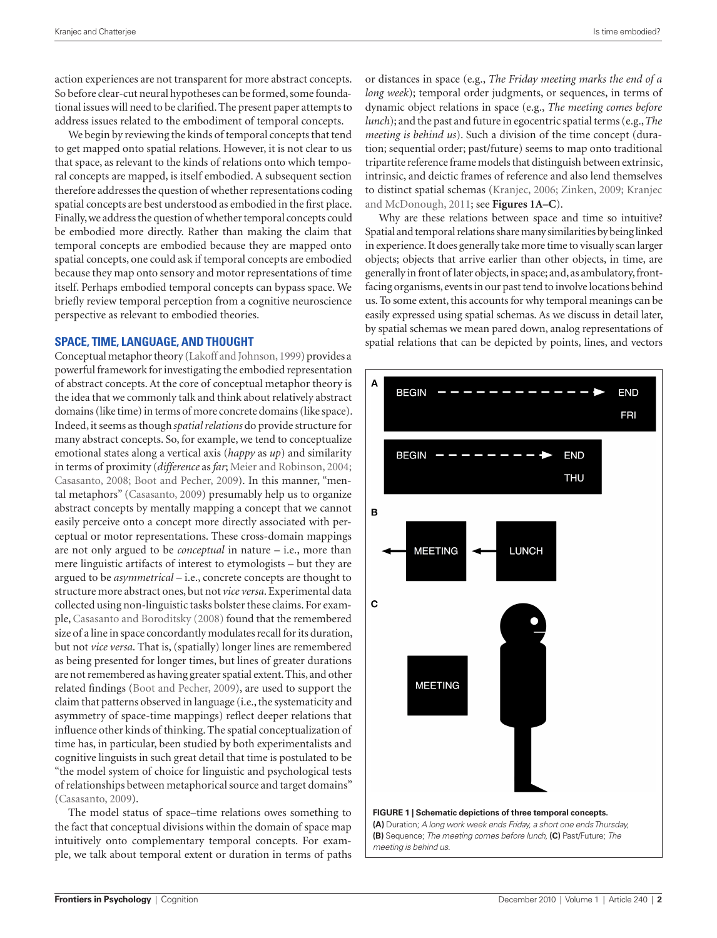action experiences are not transparent for more abstract concepts. So before clear-cut neural hypotheses can be formed, some foundational issues will need to be clarified. The present paper attempts to address issues related to the embodiment of temporal concepts.

We begin by reviewing the kinds of temporal concepts that tend to get mapped onto spatial relations. However, it is not clear to us that space, as relevant to the kinds of relations onto which temporal concepts are mapped, is itself embodied. A subsequent section therefore addresses the question of whether representations coding spatial concepts are best understood as embodied in the first place. Finally, we address the question of whether temporal concepts could be embodied more directly. Rather than making the claim that temporal concepts are embodied because they are mapped onto spatial concepts, one could ask if temporal concepts are embodied because they map onto sensory and motor representations of time itself. Perhaps embodied temporal concepts can bypass space. We briefly review temporal perception from a cognitive neuroscience perspective as relevant to embodied theories.

## **SPACE, TIME, LANGUAGE, AND THOUGHT**

Conceptual metaphor theory (Lakoff and Johnson, 1999) provides a powerful framework for investigating the embodied representation of abstract concepts. At the core of conceptual metaphor theory is the idea that we commonly talk and think about relatively abstract domains (like time) in terms of more concrete domains (like space). Indeed, it seems as though *spatial relations* do provide structure for many abstract concepts. So, for example, we tend to conceptualize emotional states along a vertical axis (*happy* as *up*) and similarity in terms of proximity (*difference* as *far*; Meier and Robinson, 2004; Casasanto, 2008; Boot and Pecher, 2009). In this manner, "mental metaphors" (Casasanto, 2009) presumably help us to organize abstract concepts by mentally mapping a concept that we cannot easily perceive onto a concept more directly associated with perceptual or motor representations. These cross-domain mappings are not only argued to be *conceptual* in nature – i.e., more than mere linguistic artifacts of interest to etymologists – but they are argued to be *asymmetrical* – i.e., concrete concepts are thought to structure more abstract ones, but not *vice versa*. Experimental data collected using non-linguistic tasks bolster these claims. For example, Casasanto and Boroditsky (2008) found that the remembered size of a line in space concordantly modulates recall for its duration, but not *vice versa*. That is, (spatially) longer lines are remembered as being presented for longer times, but lines of greater durations are not remembered as having greater spatial extent. This, and other related findings (Boot and Pecher, 2009), are used to support the claim that patterns observed in language (i.e., the systematicity and asymmetry of space-time mappings) reflect deeper relations that influence other kinds of thinking. The spatial conceptualization of time has, in particular, been studied by both experimentalists and cognitive linguists in such great detail that time is postulated to be "the model system of choice for linguistic and psychological tests of relationships between metaphorical source and target domains" (Casasanto, 2009).

The model status of space–time relations owes something to the fact that conceptual divisions within the domain of space map intuitively onto complementary temporal concepts. For example, we talk about temporal extent or duration in terms of paths or distances in space (e.g., *The Friday meeting marks the end of a long week*); temporal order judgments, or sequences, in terms of dynamic object relations in space (e.g., *The meeting comes before lunch*); and the past and future in egocentric spatial terms (e.g., *The meeting is behind us*). Such a division of the time concept (duration; sequential order; past/future) seems to map onto traditional tripartite reference frame models that distinguish between extrinsic, intrinsic, and deictic frames of reference and also lend themselves to distinct spatial schemas (Kranjec, 2006; Zinken, 2009; Kranjec and McDonough, 2011; see **Figures 1A–C**).

Why are these relations between space and time so intuitive? Spatial and temporal relations share many similarities by being linked in experience. It does generally take more time to visually scan larger objects; objects that arrive earlier than other objects, in time, are generally in front of later objects, in space; and, as ambulatory, frontfacing organisms, events in our past tend to involve locations behind us. To some extent, this accounts for why temporal meanings can be easily expressed using spatial schemas. As we discuss in detail later, by spatial schemas we mean pared down, analog representations of spatial relations that can be depicted by points, lines, and vectors

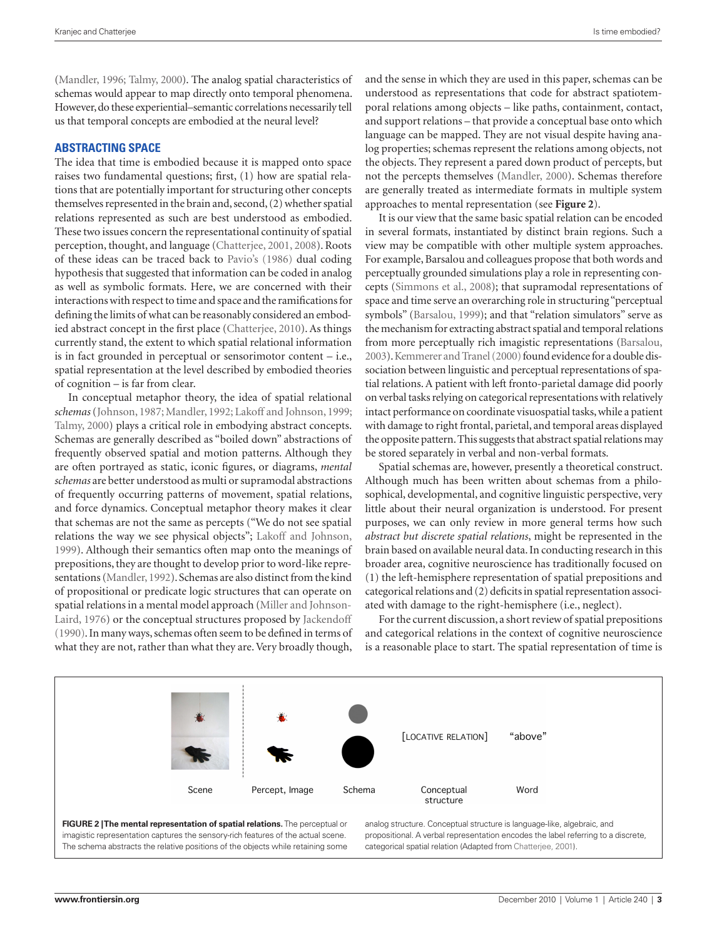(Mandler, 1996; Talmy, 2000). The analog spatial characteristics of schemas would appear to map directly onto temporal phenomena. However, do these experiential–semantic correlations necessarily tell us that temporal concepts are embodied at the neural level?

## **ABSTRACTING SPACE**

The idea that time is embodied because it is mapped onto space raises two fundamental questions; first, (1) how are spatial relations that are potentially important for structuring other concepts themselves represented in the brain and, second, (2) whether spatial relations represented as such are best understood as embodied. These two issues concern the representational continuity of spatial perception, thought, and language (Chatterjee, 2001, 2008). Roots of these ideas can be traced back to Pavio's (1986) dual coding hypothesis that suggested that information can be coded in analog as well as symbolic formats. Here, we are concerned with their interactions with respect to time and space and the ramifications for defining the limits of what can be reasonably considered an embodied abstract concept in the first place (Chatterjee, 2010). As things currently stand, the extent to which spatial relational information is in fact grounded in perceptual or sensorimotor content – i.e., spatial representation at the level described by embodied theories of cognition – is far from clear.

In conceptual metaphor theory, the idea of spatial relational *schemas* (Johnson, 1987; Mandler, 1992; Lakoff and Johnson, 1999; Talmy, 2000) plays a critical role in embodying abstract concepts. Schemas are generally described as "boiled down" abstractions of frequently observed spatial and motion patterns. Although they are often portrayed as static, iconic figures, or diagrams, *mental schemas* are better understood as multi or supramodal abstractions of frequently occurring patterns of movement, spatial relations, and force dynamics. Conceptual metaphor theory makes it clear that schemas are not the same as percepts ("We do not see spatial relations the way we see physical objects"; Lakoff and Johnson, 1999). Although their semantics often map onto the meanings of prepositions, they are thought to develop prior to word-like representations (Mandler, 1992). Schemas are also distinct from the kind of propositional or predicate logic structures that can operate on spatial relations in a mental model approach (Miller and Johnson-Laird, 1976) or the conceptual structures proposed by Jackendoff (1990). In many ways, schemas often seem to be defined in terms of what they are not, rather than what they are. Very broadly though, and the sense in which they are used in this paper, schemas can be understood as representations that code for abstract spatiotemporal relations among objects – like paths, containment, contact, and support relations – that provide a conceptual base onto which language can be mapped. They are not visual despite having analog properties; schemas represent the relations among objects, not the objects. They represent a pared down product of percepts, but not the percepts themselves (Mandler, 2000). Schemas therefore are generally treated as intermediate formats in multiple system approaches to mental representation (see **Figure 2**).

It is our view that the same basic spatial relation can be encoded in several formats, instantiated by distinct brain regions. Such a view may be compatible with other multiple system approaches. For example, Barsalou and colleagues propose that both words and perceptually grounded simulations play a role in representing concepts (Simmons et al., 2008); that supramodal representations of space and time serve an overarching role in structuring "perceptual symbols" (Barsalou, 1999); and that "relation simulators" serve as the mechanism for extracting abstract spatial and temporal relations from more perceptually rich imagistic representations (Barsalou, 2003). Kemmerer and Tranel (2000) found evidence for a double dissociation between linguistic and perceptual representations of spatial relations. A patient with left fronto-parietal damage did poorly on verbal tasks relying on categorical representations with relatively intact performance on coordinate visuospatial tasks, while a patient with damage to right frontal, parietal, and temporal areas displayed the opposite pattern. This suggests that abstract spatial relations may be stored separately in verbal and non-verbal formats.

Spatial schemas are, however, presently a theoretical construct. Although much has been written about schemas from a philosophical, developmental, and cognitive linguistic perspective, very little about their neural organization is understood. For present purposes, we can only review in more general terms how such *abstract but discrete spatial relations*, might be represented in the brain based on available neural data. In conducting research in this broader area, cognitive neuroscience has traditionally focused on (1) the left-hemisphere representation of spatial prepositions and categorical relations and (2) deficits in spatial representation associated with damage to the right-hemisphere (i.e., neglect).

For the current discussion, a short review of spatial prepositions and categorical relations in the context of cognitive neuroscience is a reasonable place to start. The spatial representation of time is



The schema abstracts the relative positions of the objects while retaining some

categorical spatial relation (Adapted from Chatterjee, 2001).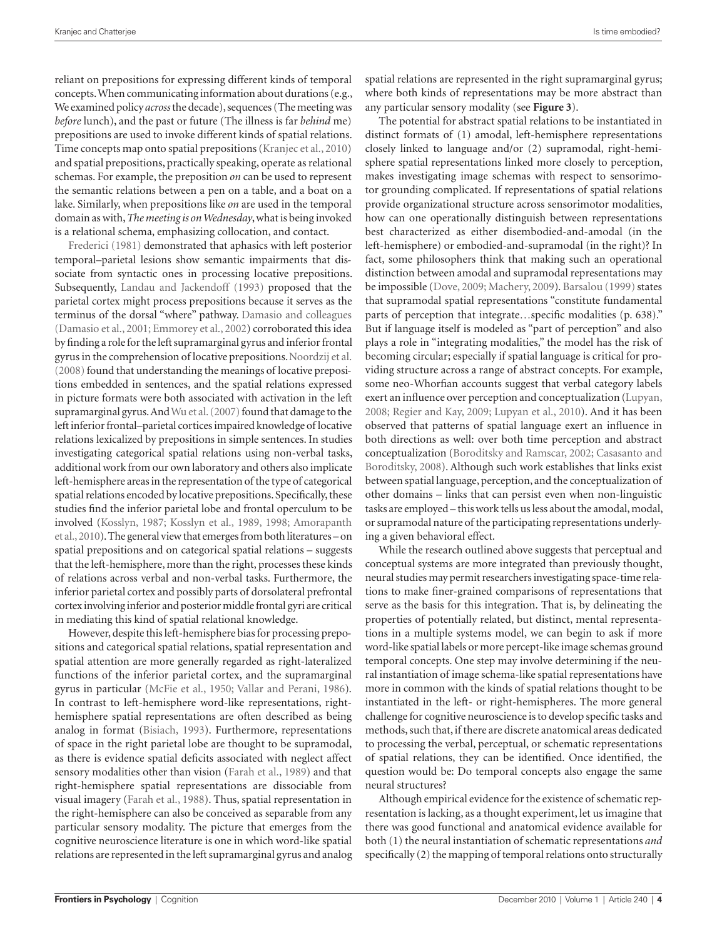reliant on prepositions for expressing different kinds of temporal concepts. When communicating information about durations (e.g., We examined policy *across* the decade), sequences (The meeting was *before* lunch), and the past or future (The illness is far *behind* me) prepositions are used to invoke different kinds of spatial relations. Time concepts map onto spatial prepositions (Kranjec et al., 2010) and spatial prepositions, practically speaking, operate as relational schemas. For example, the preposition *on* can be used to represent the semantic relations between a pen on a table, and a boat on a lake. Similarly, when prepositions like *on* are used in the temporal domain as with, *The meeting is on Wednesday*, what is being invoked is a relational schema, emphasizing collocation, and contact.

Frederici (1981) demonstrated that aphasics with left posterior temporal–parietal lesions show semantic impairments that dissociate from syntactic ones in processing locative prepositions. Subsequently, Landau and Jackendoff (1993) proposed that the parietal cortex might process prepositions because it serves as the terminus of the dorsal "where" pathway. Damasio and colleagues (Damasio et al., 2001; Emmorey et al., 2002) corroborated this idea by finding a role for the left supramarginal gyrus and inferior frontal gyrus in the comprehension of locative prepositions. Noordzij et al. (2008) found that understanding the meanings of locative prepositions embedded in sentences, and the spatial relations expressed in picture formats were both associated with activation in the left supramarginal gyrus. And Wu et al. (2007) found that damage to the left inferior frontal–parietal cortices impaired knowledge of locative relations lexicalized by prepositions in simple sentences. In studies investigating categorical spatial relations using non-verbal tasks, additional work from our own laboratory and others also implicate left-hemisphere areas in the representation of the type of categorical spatial relations encoded by locative prepositions. Specifically, these studies find the inferior parietal lobe and frontal operculum to be involved (Kosslyn, 1987; Kosslyn et al., 1989, 1998; Amorapanth et al., 2010). The general view that emerges from both literatures – on spatial prepositions and on categorical spatial relations – suggests that the left-hemisphere, more than the right, processes these kinds of relations across verbal and non-verbal tasks. Furthermore, the inferior parietal cortex and possibly parts of dorsolateral prefrontal cortex involving inferior and posterior middle frontal gyri are critical in mediating this kind of spatial relational knowledge.

However, despite this left-hemisphere bias for processing prepositions and categorical spatial relations, spatial representation and spatial attention are more generally regarded as right-lateralized functions of the inferior parietal cortex, and the supramarginal gyrus in particular (McFie et al., 1950; Vallar and Perani, 1986). In contrast to left-hemisphere word-like representations, righthemisphere spatial representations are often described as being analog in format (Bisiach, 1993). Furthermore, representations of space in the right parietal lobe are thought to be supramodal, as there is evidence spatial deficits associated with neglect affect sensory modalities other than vision (Farah et al., 1989) and that right-hemisphere spatial representations are dissociable from visual imagery (Farah et al., 1988). Thus, spatial representation in the right-hemisphere can also be conceived as separable from any particular sensory modality. The picture that emerges from the cognitive neuroscience literature is one in which word-like spatial relations are represented in the left supramarginal gyrus and analog spatial relations are represented in the right supramarginal gyrus; where both kinds of representations may be more abstract than any particular sensory modality (see **Figure 3**).

The potential for abstract spatial relations to be instantiated in distinct formats of (1) amodal, left-hemisphere representations closely linked to language and/or (2) supramodal, right-hemisphere spatial representations linked more closely to perception, makes investigating image schemas with respect to sensorimotor grounding complicated. If representations of spatial relations provide organizational structure across sensorimotor modalities, how can one operationally distinguish between representations best characterized as either disembodied-and-amodal (in the left-hemisphere) or embodied-and-supramodal (in the right)? In fact, some philosophers think that making such an operational distinction between amodal and supramodal representations may be impossible (Dove, 2009; Machery, 2009). Barsalou (1999) states that supramodal spatial representations "constitute fundamental parts of perception that integrate...specific modalities (p. 638)." But if language itself is modeled as "part of perception" and also plays a role in "integrating modalities," the model has the risk of becoming circular; especially if spatial language is critical for providing structure across a range of abstract concepts. For example, some neo-Whorfian accounts suggest that verbal category labels exert an influence over perception and conceptualization (Lupyan, 2008; Regier and Kay, 2009; Lupyan et al., 2010). And it has been observed that patterns of spatial language exert an influence in both directions as well: over both time perception and abstract conceptualization (Boroditsky and Ramscar, 2002; Casasanto and Boroditsky, 2008). Although such work establishes that links exist between spatial language, perception, and the conceptualization of other domains – links that can persist even when non-linguistic tasks are employed – this work tells us less about the amodal, modal, or supramodal nature of the participating representations underlying a given behavioral effect.

While the research outlined above suggests that perceptual and conceptual systems are more integrated than previously thought, neural studies may permit researchers investigating space-time relations to make finer-grained comparisons of representations that serve as the basis for this integration. That is, by delineating the properties of potentially related, but distinct, mental representations in a multiple systems model, we can begin to ask if more word-like spatial labels or more percept-like image schemas ground temporal concepts. One step may involve determining if the neural instantiation of image schema-like spatial representations have more in common with the kinds of spatial relations thought to be instantiated in the left- or right-hemispheres. The more general challenge for cognitive neuroscience is to develop specific tasks and methods, such that, if there are discrete anatomical areas dedicated to processing the verbal, perceptual, or schematic representations of spatial relations, they can be identified. Once identified, the question would be: Do temporal concepts also engage the same neural structures?

Although empirical evidence for the existence of schematic representation is lacking, as a thought experiment, let us imagine that there was good functional and anatomical evidence available for both (1) the neural instantiation of schematic representations *and* specifically (2) the mapping of temporal relations onto structurally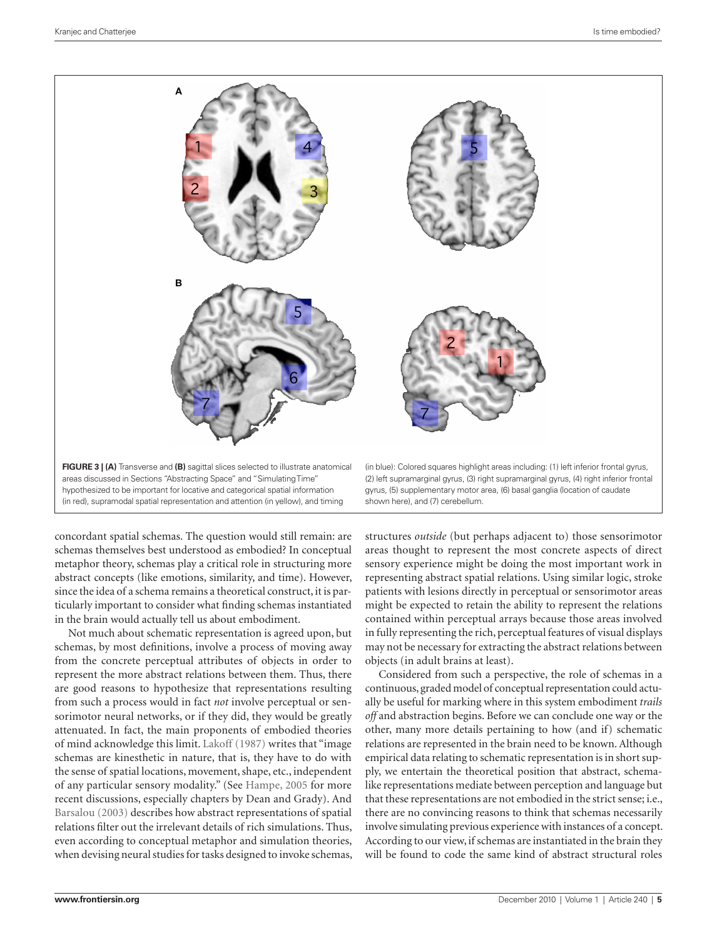

concordant spatial schemas. The question would still remain: are schemas themselves best understood as embodied? In conceptual metaphor theory, schemas play a critical role in structuring more abstract concepts (like emotions, similarity, and time). However, since the idea of a schema remains a theoretical construct, it is particularly important to consider what finding schemas instantiated in the brain would actually tell us about embodiment.

Not much about schematic representation is agreed upon, but schemas, by most definitions, involve a process of moving away from the concrete perceptual attributes of objects in order to represent the more abstract relations between them. Thus, there are good reasons to hypothesize that representations resulting from such a process would in fact *not* involve perceptual or sensorimotor neural networks, or if they did, they would be greatly attenuated. In fact, the main proponents of embodied theories of mind acknowledge this limit. Lakoff (1987) writes that "image schemas are kinesthetic in nature, that is, they have to do with the sense of spatial locations, movement, shape, etc., independent of any particular sensory modality." (See Hampe, 2005 for more recent discussions, especially chapters by Dean and Grady). And Barsalou (2003) describes how abstract representations of spatial relations filter out the irrelevant details of rich simulations. Thus, even according to conceptual metaphor and simulation theories, when devising neural studies for tasks designed to invoke schemas,

structures *outside* (but perhaps adjacent to) those sensorimotor areas thought to represent the most concrete aspects of direct sensory experience might be doing the most important work in representing abstract spatial relations. Using similar logic, stroke patients with lesions directly in perceptual or sensorimotor areas might be expected to retain the ability to represent the relations contained within perceptual arrays because those areas involved in fully representing the rich, perceptual features of visual displays may not be necessary for extracting the abstract relations between objects (in adult brains at least).

Considered from such a perspective, the role of schemas in a continuous, graded model of conceptual representation could actually be useful for marking where in this system embodiment *trails off* and abstraction begins. Before we can conclude one way or the other, many more details pertaining to how (and if) schematic relations are represented in the brain need to be known. Although empirical data relating to schematic representation is in short supply, we entertain the theoretical position that abstract, schemalike representations mediate between perception and language but that these representations are not embodied in the strict sense; i.e., there are no convincing reasons to think that schemas necessarily involve simulating previous experience with instances of a concept. According to our view, if schemas are instantiated in the brain they will be found to code the same kind of abstract structural roles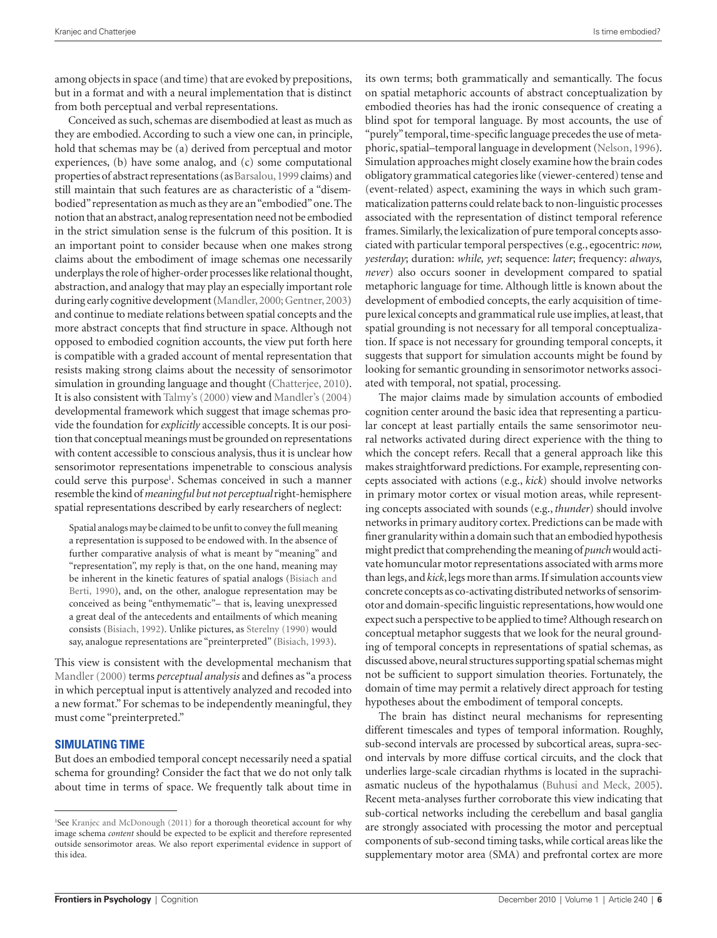among objects in space (and time) that are evoked by prepositions, but in a format and with a neural implementation that is distinct from both perceptual and verbal representations.

Conceived as such, schemas are disembodied at least as much as they are embodied. According to such a view one can, in principle, hold that schemas may be (a) derived from perceptual and motor experiences, (b) have some analog, and (c) some computational properties of abstract representations (as Barsalou, 1999 claims) and still maintain that such features are as characteristic of a "disembodied" representation as much as they are an "embodied" one. The notion that an abstract, analog representation need not be embodied in the strict simulation sense is the fulcrum of this position. It is an important point to consider because when one makes strong claims about the embodiment of image schemas one necessarily underplays the role of higher-order processes like relational thought, abstraction, and analogy that may play an especially important role during early cognitive development (Mandler, 2000; Gentner, 2003) and continue to mediate relations between spatial concepts and the more abstract concepts that find structure in space. Although not opposed to embodied cognition accounts, the view put forth here is compatible with a graded account of mental representation that resists making strong claims about the necessity of sensorimotor simulation in grounding language and thought (Chatterjee, 2010). It is also consistent with Talmy's (2000) view and Mandler's (2004) developmental framework which suggest that image schemas provide the foundation for *explicitly* accessible concepts. It is our position that conceptual meanings must be grounded on representations with content accessible to conscious analysis, thus it is unclear how sensorimotor representations impenetrable to conscious analysis could serve this purpose<sup>1</sup>. Schemas conceived in such a manner resemble the kind of *meaningful but not perceptual* right-hemisphere spatial representations described by early researchers of neglect:

Spatial analogs may be claimed to be unfit to convey the full meaning a representation is supposed to be endowed with. In the absence of further comparative analysis of what is meant by "meaning" and "representation", my reply is that, on the one hand, meaning may be inherent in the kinetic features of spatial analogs (Bisiach and Berti, 1990), and, on the other, analogue representation may be conceived as being "enthymematic"– that is, leaving unexpressed a great deal of the antecedents and entailments of which meaning consists (Bisiach, 1992). Unlike pictures, as Sterelny (1990) would say, analogue representations are "preinterpreted" (Bisiach, 1993).

This view is consistent with the developmental mechanism that Mandler (2000) terms *perceptual analysis* and defines as "a process in which perceptual input is attentively analyzed and recoded into a new format." For schemas to be independently meaningful, they must come "preinterpreted."

## **SIMULATING TIME**

But does an embodied temporal concept necessarily need a spatial schema for grounding? Consider the fact that we do not only talk about time in terms of space. We frequently talk about time in

its own terms; both grammatically and semantically. The focus on spatial metaphoric accounts of abstract conceptualization by embodied theories has had the ironic consequence of creating a blind spot for temporal language. By most accounts, the use of "purely" temporal, time-specific language precedes the use of metaphoric, spatial–temporal language in development (Nelson, 1996). Simulation approaches might closely examine how the brain codes obligatory grammatical categories like (viewer-centered) tense and (event-related) aspect, examining the ways in which such grammaticalization patterns could relate back to non-linguistic processes associated with the representation of distinct temporal reference frames. Similarly, the lexicalization of pure temporal concepts associated with particular temporal perspectives (e.g., egocentric: *now, yesterday*; duration: *while, yet*; sequence: *later*; frequency: *always, never*) also occurs sooner in development compared to spatial metaphoric language for time. Although little is known about the development of embodied concepts, the early acquisition of timepure lexical concepts and grammatical rule use implies, at least, that spatial grounding is not necessary for all temporal conceptualization. If space is not necessary for grounding temporal concepts, it suggests that support for simulation accounts might be found by looking for semantic grounding in sensorimotor networks associated with temporal, not spatial, processing.

The major claims made by simulation accounts of embodied cognition center around the basic idea that representing a particular concept at least partially entails the same sensorimotor neural networks activated during direct experience with the thing to which the concept refers. Recall that a general approach like this makes straightforward predictions. For example, representing concepts associated with actions (e.g., *kick*) should involve networks in primary motor cortex or visual motion areas, while representing concepts associated with sounds (e.g., *thunder*) should involve networks in primary auditory cortex. Predictions can be made with finer granularity within a domain such that an embodied hypothesis might predict that comprehending the meaning of *punch* would activate homuncular motor representations associated with arms more than legs, and *kick*, legs more than arms. If simulation accounts view concrete concepts as co-activating distributed networks of sensorimotor and domain-specific linguistic representations, how would one expect such a perspective to be applied to time? Although research on conceptual metaphor suggests that we look for the neural grounding of temporal concepts in representations of spatial schemas, as discussed above, neural structures supporting spatial schemas might not be sufficient to support simulation theories. Fortunately, the domain of time may permit a relatively direct approach for testing hypotheses about the embodiment of temporal concepts.

The brain has distinct neural mechanisms for representing different timescales and types of temporal information. Roughly, sub-second intervals are processed by subcortical areas, supra-second intervals by more diffuse cortical circuits, and the clock that underlies large-scale circadian rhythms is located in the suprachiasmatic nucleus of the hypothalamus (Buhusi and Meck, 2005). Recent meta-analyses further corroborate this view indicating that sub-cortical networks including the cerebellum and basal ganglia are strongly associated with processing the motor and perceptual components of sub-second timing tasks, while cortical areas like the supplementary motor area (SMA) and prefrontal cortex are more

<sup>&</sup>lt;sup>1</sup>See Kranjec and McDonough (2011) for a thorough theoretical account for why image schema *content* should be expected to be explicit and therefore represented outside sensorimotor areas. We also report experimental evidence in support of this idea.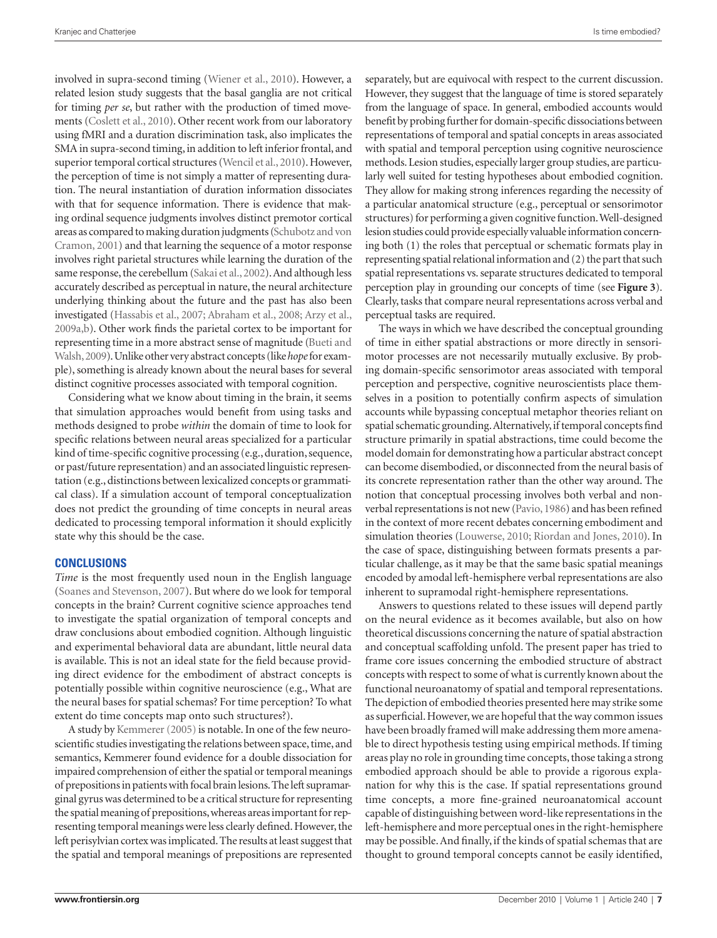involved in supra-second timing (Wiener et al., 2010). However, a related lesion study suggests that the basal ganglia are not critical for timing *per se*, but rather with the production of timed movements (Coslett et al., 2010). Other recent work from our laboratory using fMRI and a duration discrimination task, also implicates the SMA in supra-second timing, in addition to left inferior frontal, and superior temporal cortical structures (Wencil et al., 2010). However, the perception of time is not simply a matter of representing duration. The neural instantiation of duration information dissociates with that for sequence information. There is evidence that making ordinal sequence judgments involves distinct premotor cortical areas as compared to making duration judgments (Schubotz and von Cramon, 2001) and that learning the sequence of a motor response involves right parietal structures while learning the duration of the same response, the cerebellum (Sakai et al., 2002). And although less accurately described as perceptual in nature, the neural architecture underlying thinking about the future and the past has also been investigated (Hassabis et al., 2007; Abraham et al., 2008; Arzy et al., 2009a,b). Other work finds the parietal cortex to be important for representing time in a more abstract sense of magnitude (Bueti and Walsh, 2009). Unlike other very abstract concepts (like *hope* for example), something is already known about the neural bases for several distinct cognitive processes associated with temporal cognition.

Considering what we know about timing in the brain, it seems that simulation approaches would benefit from using tasks and methods designed to probe *within* the domain of time to look for specific relations between neural areas specialized for a particular kind of time-specific cognitive processing (e.g., duration, sequence, or past/future representation) and an associated linguistic representation (e.g., distinctions between lexicalized concepts or grammatical class). If a simulation account of temporal conceptualization does not predict the grounding of time concepts in neural areas dedicated to processing temporal information it should explicitly state why this should be the case.

### **CONCLUSIONS**

*Time* is the most frequently used noun in the English language (Soanes and Stevenson, 2007). But where do we look for temporal concepts in the brain? Current cognitive science approaches tend to investigate the spatial organization of temporal concepts and draw conclusions about embodied cognition. Although linguistic and experimental behavioral data are abundant, little neural data is available. This is not an ideal state for the field because providing direct evidence for the embodiment of abstract concepts is potentially possible within cognitive neuroscience (e.g., What are the neural bases for spatial schemas? For time perception? To what extent do time concepts map onto such structures?).

A study by Kemmerer (2005) is notable. In one of the few neuroscientific studies investigating the relations between space, time, and semantics, Kemmerer found evidence for a double dissociation for impaired comprehension of either the spatial or temporal meanings of prepositions in patients with focal brain lesions. The left supramarginal gyrus was determined to be a critical structure for representing the spatial meaning of prepositions, whereas areas important for representing temporal meanings were less clearly defined. However, the left perisylvian cortex was implicated. The results at least suggest that the spatial and temporal meanings of prepositions are represented

separately, but are equivocal with respect to the current discussion. However, they suggest that the language of time is stored separately from the language of space. In general, embodied accounts would benefit by probing further for domain-specific dissociations between representations of temporal and spatial concepts in areas associated with spatial and temporal perception using cognitive neuroscience methods. Lesion studies, especially larger group studies, are particularly well suited for testing hypotheses about embodied cognition. They allow for making strong inferences regarding the necessity of a particular anatomical structure (e.g., perceptual or sensorimotor structures) for performing a given cognitive function. Well-designed lesion studies could provide especially valuable information concerning both (1) the roles that perceptual or schematic formats play in representing spatial relational information and (2) the part that such spatial representations vs. separate structures dedicated to temporal perception play in grounding our concepts of time (see **Figure 3**). Clearly, tasks that compare neural representations across verbal and perceptual tasks are required.

The ways in which we have described the conceptual grounding of time in either spatial abstractions or more directly in sensorimotor processes are not necessarily mutually exclusive. By probing domain-specific sensorimotor areas associated with temporal perception and perspective, cognitive neuroscientists place themselves in a position to potentially confirm aspects of simulation accounts while bypassing conceptual metaphor theories reliant on spatial schematic grounding. Alternatively, if temporal concepts find structure primarily in spatial abstractions, time could become the model domain for demonstrating how a particular abstract concept can become disembodied, or disconnected from the neural basis of its concrete representation rather than the other way around. The notion that conceptual processing involves both verbal and nonverbal representations is not new (Pavio, 1986) and has been refined in the context of more recent debates concerning embodiment and simulation theories (Louwerse, 2010; Riordan and Jones, 2010). In the case of space, distinguishing between formats presents a particular challenge, as it may be that the same basic spatial meanings encoded by amodal left-hemisphere verbal representations are also inherent to supramodal right-hemisphere representations.

Answers to questions related to these issues will depend partly on the neural evidence as it becomes available, but also on how theoretical discussions concerning the nature of spatial abstraction and conceptual scaffolding unfold. The present paper has tried to frame core issues concerning the embodied structure of abstract concepts with respect to some of what is currently known about the functional neuroanatomy of spatial and temporal representations. The depiction of embodied theories presented here may strike some as superficial. However, we are hopeful that the way common issues have been broadly framed will make addressing them more amenable to direct hypothesis testing using empirical methods. If timing areas play no role in grounding time concepts, those taking a strong embodied approach should be able to provide a rigorous explanation for why this is the case. If spatial representations ground time concepts, a more fine-grained neuroanatomical account capable of distinguishing between word-like representations in the left-hemisphere and more perceptual ones in the right-hemisphere may be possible. And finally, if the kinds of spatial schemas that are thought to ground temporal concepts cannot be easily identified,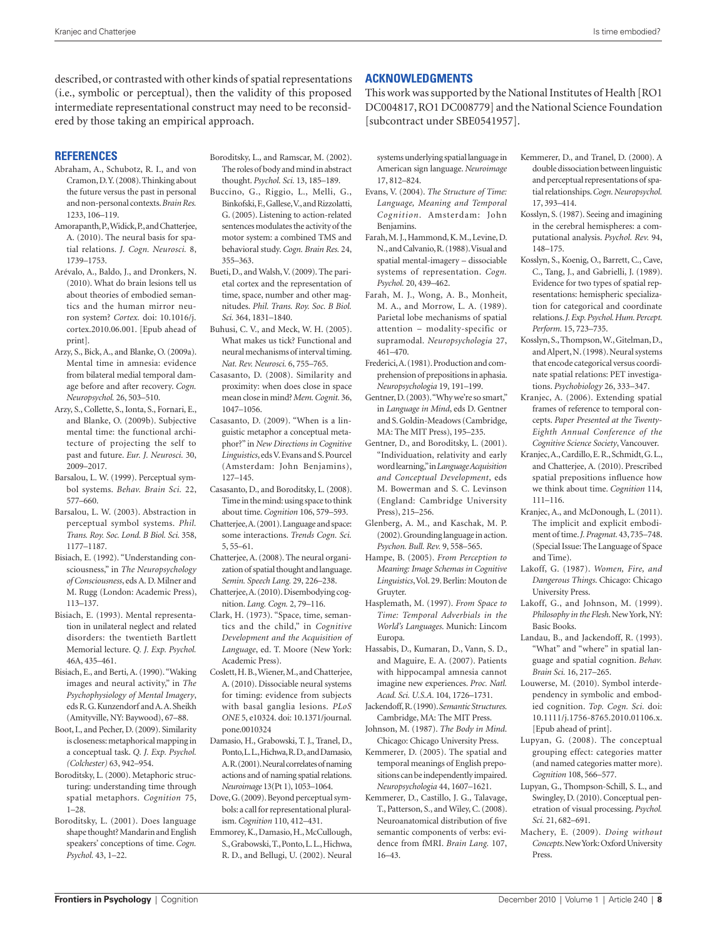described, or contrasted with other kinds of spatial representations (i.e., symbolic or perceptual), then the validity of this proposed intermediate representational construct may need to be reconsidered by those taking an empirical approach.

#### **REFERENCES**

- Abraham, A., Schubotz, R. I., and von Cramon, D. Y. (2008). Thinking about the future versus the past in personal and non-personal contexts. *Brain Res.*  1233, 106–119.
- Amorapanth, P., Widick, P., and Chatterjee, A. (2010). The neural basis for spatial relations. *J. Cogn. Neurosci.* 8, 1739–1753.
- Arévalo, A., Baldo, J., and Dronkers, N. (2010). What do brain lesions tell us about theories of embodied semantics and the human mirror neuron system? *Cortex.* doi: 10.1016/j. cortex.2010.06.001. [Epub ahead of print].
- Arzy, S., Bick, A., and Blanke, O. (2009a). Mental time in amnesia: evidence from bilateral medial temporal damage before and after recovery. *Cogn. Neuropsychol.* 26, 503–510.
- Arzy, S., Collette, S., Ionta, S., Fornari, E., and Blanke, O. (2009b). Subjective mental time: the functional architecture of projecting the self to past and future. *Eur. J. Neurosci.* 30, 2009–2017.
- Barsalou, L. W. (1999). Perceptual symbol systems. *Behav. Brain Sci.* 22, 577–660.
- Barsalou, L. W. (2003). Abstraction in perceptual symbol systems. *Phil. Trans. Roy. Soc. Lond. B Biol. Sci.* 358, 1177–1187.
- Bisiach, E. (1992). "Understanding consciousness," in *The Neuropsychology of Consciousness*, eds A. D. Milner and M. Rugg (London: Academic Press), 113–137.
- Bisiach, E. (1993). Mental representation in unilateral neglect and related disorders: the twentieth Bartlett Memorial lecture. *Q. J. Exp. Psychol.*  46A, 435–461.
- Bisiach, E., and Berti, A. (1990). "Waking images and neural activity," in *The Psychophysiology of Mental Imagery*, eds R. G. Kunzendorf and A. A. Sheikh (Amityville, NY: Baywood), 67–88.
- Boot, I., and Pecher, D. (2009). Similarity is closeness: metaphorical mapping in a conceptual task. *Q. J. Exp. Psychol. (Colchester)* 63, 942–954.
- Boroditsky, L. (2000). Metaphoric structuring: understanding time through spatial metaphors. *Cognition* 75, 1–28.
- Boroditsky, L. (2001). Does language shape thought? Mandarin and English speakers' conceptions of time. *Cogn. Psychol.* 43, 1–22.
- Boroditsky, L., and Ramscar, M. (2002). The roles of body and mind in abstract thought. *Psychol. Sci.* 13, 185–189.
- Buccino, G., Riggio, L., Melli, G., Binkofski, F., Gallese, V., and Rizzolatti, G. (2005). Listening to action-related sentences modulates the activity of the motor system: a combined TMS and behavioral study. *Cogn. Brain Res.* 24, 355–363.
- Bueti, D., and Walsh, V. (2009). The parietal cortex and the representation of time, space, number and other magnitudes. *Phil. Trans. Roy. Soc. B Biol. Sci.* 364, 1831–1840.
- Buhusi, C. V., and Meck, W. H. (2005). What makes us tick? Functional and neural mechanisms of interval timing. *Nat. Rev. Neurosci.* 6, 755–765.
- Casasanto, D. (2008). Similarity and proximity: when does close in space mean close in mind? *Mem. Cognit.* 36, 1047–1056.
- Casasanto, D. (2009). "When is a linguistic metaphor a conceptual metaphor?" in *New Directions in Cognitive Linguistics*, eds V. Evans and S. Pourcel (Amsterdam: John Benjamins), 127–145.
- Casasanto, D., and Boroditsky, L. (2008). Time in the mind: using space to think about time. *Cognition* 106, 579–593.
- Chatterjee, A. (2001). Language and space: some interactions. *Trends Cogn. Sci.*  5, 55–61.
- Chatterjee, A. (2008). The neural organization of spatial thought and language. *Semin. Speech Lang.* 29, 226–238.
- Chatterjee, A. (2010). Disembodying cognition. *Lang. Cogn.* 2, 79–116.
- Clark, H. (1973). "Space, time, semantics and the child," in *Cognitive Development and the Acquisition of Language*, ed. T. Moore (New York: Academic Press).
- Coslett, H. B., Wiener, M., and Chatterjee, A. (2010). Dissociable neural systems for timing: evidence from subjects with basal ganglia lesions. *PLoS ONE* 5, e10324. doi: 10.1371/journal. pone.0010324
- Damasio, H., Grabowski, T. J., Tranel, D., Ponto, L. L., Hichwa, R. D., and Damasio, A. R. (2001). Neural correlates of naming actions and of naming spatial relations. *Neuroimage* 13(Pt 1), 1053–1064.
- Dove, G. (2009). Beyond perceptual symbols: a call for representational pluralism. *Cognition* 110, 412–431.
- Emmorey, K., Damasio, H., McCullough, S., Grabowski, T., Ponto, L. L., Hichwa, R. D., and Bellugi, U. (2002). Neural

### **ACKNOWLEDGMENTS**

This work was supported by the National Institutes of Health [RO1 DC004817, RO1 DC008779] and the National Science Foundation [subcontract under SBE0541957].

systems underlying spatial language in American sign language. *Neuroimage*  17, 812–824.

- Evans, V. (2004). *The Structure of Time: Language, Meaning and Temporal Cognition*. Amsterdam: John Benjamins.
- Farah, M. J., Hammond, K. M., Levine, D. N., and Calvanio, R. (1988). Visual and spatial mental-imagery – dissociable systems of representation. *Cogn. Psychol.* 20, 439–462.
- Farah, M. J., Wong, A. B., Monheit, M. A., and Morrow, L. A. (1989). Parietal lobe mechanisms of spatial attention – modality-specific or supramodal. *Neuropsychologia* 27, 461–470.
- Frederici, A. (1981). Production and comprehension of prepositions in aphasia. *Neuropsychologia* 19, 191–199.
- Gentner, D. (2003). "Why we're so smart," in *Language in Mind*, eds D. Gentner and S. Goldin-Meadows (Cambridge, MA: The MIT Press), 195–235.
- Gentner, D., and Boroditsky, L. (2001). "Individuation, relativity and early word learning," in *Language Acquisition and Conceptual Development*, eds M. Bowerman and S. C. Levinson (England: Cambridge University Press), 215–256.
- Glenberg, A. M., and Kaschak, M. P. (2002). Grounding language in action. *Psychon. Bull. Rev.* 9, 558–565.
- Hampe, B. (2005). *From Perception to Meaning: Image Schemas in Cognitive Linguistics*, Vol. 29. Berlin: Mouton de Gruyter.
- Hasplemath, M. (1997). *From Space to Time: Temporal Adverbials in the World's Languages*. Munich: Lincom Europa.
- Hassabis, D., Kumaran, D., Vann, S. D., and Maguire, E. A. (2007). Patients with hippocampal amnesia cannot imagine new experiences. *Proc. Natl. Acad. Sci. U.S.A.* 104, 1726–1731.
- Jackendoff, R. (1990). *Semantic Structures*. Cambridge, MA: The MIT Press.
- Johnson, M. (1987). *The Body in Mind*. Chicago: Chicago University Press.
- Kemmerer, D. (2005). The spatial and temporal meanings of English prepositions can be independently impaired. *Neuropsychologia* 44, 1607–1621.
- Kemmerer, D., Castillo, J. G., Talavage, T., Patterson, S., and Wiley, C. (2008). Neuroanatomical distribution of five semantic components of verbs: evidence from fMRI. *Brain Lang.* 107, 16–43.
- Kemmerer, D., and Tranel, D. (2000). A double dissociation between linguistic and perceptual representations of spatial relationships. *Cogn. Neuropsychol.*  17, 393–414.
- Kosslyn, S. (1987). Seeing and imagining in the cerebral hemispheres: a computational analysis. *Psychol. Rev.* 94, 148–175.
- Kosslyn, S., Koenig, O., Barrett, C., Cave, C., Tang, J., and Gabrielli, J. (1989). Evidence for two types of spatial representations: hemispheric specialization for categorical and coordinate relations. *J. Exp. Psychol. Hum. Percept. Perform.* 15, 723–735.
- Kosslyn, S., Thompson, W., Gitelman, D., and Alpert, N. (1998). Neural systems that encode categorical versus coordinate spatial relations: PET investigations. *Psychobiology* 26, 333–347.
- Kranjec, A. (2006). Extending spatial frames of reference to temporal concepts. *Paper Presented at the Twenty-Eighth Annual Conference of the Cognitive Science Society*, Vancouver.
- Kranjec, A., Cardillo, E. R., Schmidt, G. L., and Chatterjee, A. (2010). Prescribed spatial prepositions influence how we think about time. *Cognition* 114, 111–116.
- Kranjec, A., and McDonough, L. (2011). The implicit and explicit embodiment of time. *J. Pragmat.* 43, 735–748. (Special Issue: The Language of Space and Time).
- Lakoff, G. (1987). *Women, Fire, and Dangerous Things*. Chicago: Chicago University Press.
- Lakoff, G., and Johnson, M. (1999). *Philosophy in the Flesh*. New York, NY: Basic Books.
- Landau, B., and Jackendoff, R. (1993). "What" and "where" in spatial language and spatial cognition. *Behav. Brain Sci.* 16, 217–265.
- Louwerse, M. (2010). Symbol interdependency in symbolic and embodied cognition. *Top. Cogn. Sci.* doi: 10.1111/j.1756-8765.2010.01106.x. [Epub ahead of print].
- Lupyan, G. (2008). The conceptual grouping effect: categories matter (and named categories matter more). *Cognition* 108, 566–577.
- Lupyan, G., Thompson-Schill, S. L., and Swingley, D. (2010). Conceptual penetration of visual processing. *Psychol. Sci.* 21, 682–691.
- Machery, E. (2009). *Doing without Concepts*. New York: Oxford University Press.